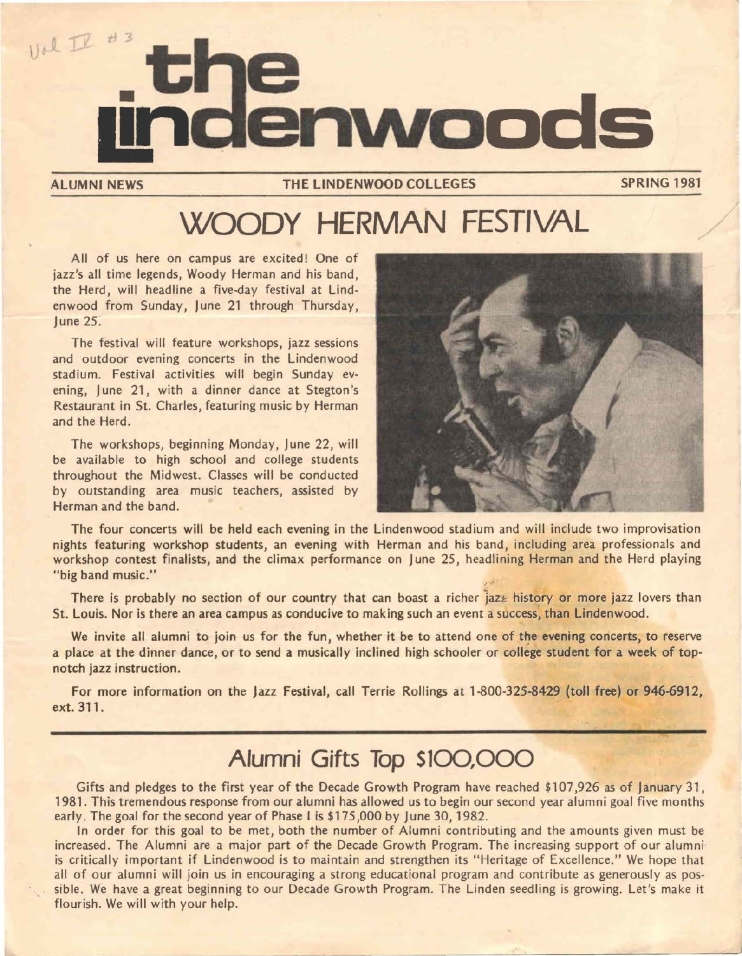

ALUMNI NEWS THE LINDENWOOD COLLEGES

**SPRING** 1981

## **WOODY HERMAN FESTIVAL**

All of us here on campus are excited! One of jazz's all time legends, Woody Herman and his band, the Herd, will headline a five-day festival at Lindenwood from Sunday, June 21 through Thursday, June 25.

The festival will feature workshops, jazz sessions and outdoor evening concerts in the Lindenwood stadium. Festival activities will begin Sunday evening, June 21, with a dinner dance at Stegton's Restaurant in St. Charles, featuring music by Herman and the Herd.

The workshops, beginning Monday, June 22, will be available to high school and college students throughout the Midwest. Classes will be conducted by outstanding area music teachers, assisted by Herman and the band.



The four concerts will be held each evening in the Lindenwood stadium and will include two improvisation nights featuring workshop students, an evening with Herman and his band, including area professionals and workshop contest finalists, and the climax performance on June 25, headlining Herman and the Herd playing "big band music."

There is probably no section of our country that can boast a richer jaz $\epsilon$  history or more jazz lovers than St. Louis. Nor is there an area campus as conducive to making such an event a success, than Lindenwood.

We invite all alumni to join us for the fun, whether it be to attend one of the **evening** concerts, to reserve a place at the dinner dance, or to send a musically inclined high schooler or college student for a week of topnotch jazz instruction.

For more information on the Jazz Festival, call Terrie Rollings at 1-800-325-8429 (toll free) or 946-6912, ext. 311.

### **Alumni Gifts Top** S100,000

Gifts and pledges to the first year of the Decade Growth Program have reached \$107,926 as of January 31, 1981. This tremendous response from our alumni has allowed us to begin our second year alumni goal five months early. The goal for the second year of Phase I is \$175,000 by June 30, 1982.

In order for this goal to be met, both the number of Alumni contributing and the amounts given must be increased. The Alumni are a major part of the Decade Growth Program. The increasing support of our alumni is critically important if Lindenwood is to maintain and strengthen its "Heritage of Excellence." We hope that all of our alumni will join us in encouraging a strong educational program and contribute as generously as possible. We have a great beginning to our Decade Growth Program. The Linden seedling is growing. Let's make it flourish. We will with your help.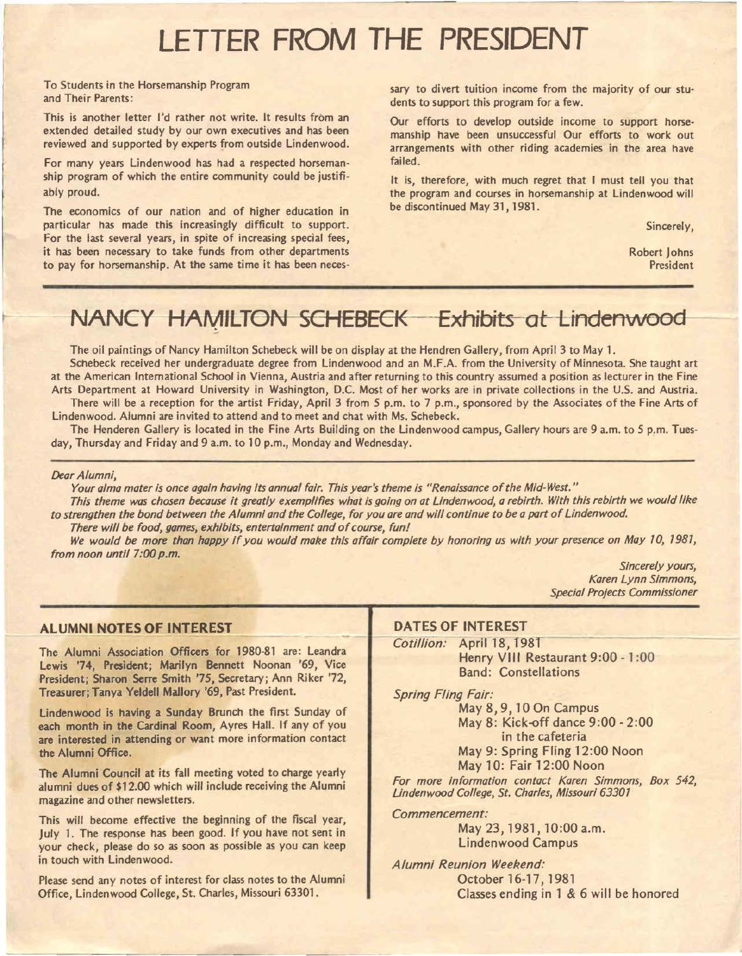## LETTER FROM THE PRESIDENT

To Students in the Horsemanship Program and Their Parents:

This is another letter I'd rather not write. It results from an extended detailed study by our own executives and has been reviewed and supported by experts from outside Lindenwood.

For many years Lindenwood has had a respected horsemanship program of which the entire community could be justifiably proud.

The economics of our nation and of higher education in particular has made this increasingly difficult to support. For the last several years, in spite of increasing special fees, it has been necessary to take funds from other departments to pay for horsemanship. At the same time it has been necessary to divert tuition income from the majority of our students to support this program for a few.

Our efforts to develop outside income to support horsemanship have been unsuccessful Our efforts to work out arrangements with other riding academies in the area have failed.

It is, therefore, with much regret that I must tell you that the program and courses in horsemanship at Lindenwood will be discontinued May 31, 1981.

Sincerely,

Robert Johns President

### NANCY HAMILTON SCHEBECK Exhibits at Lindenwood

The oil paintings of Nancy Hamilton Schebeck will be on display at the Hendren Gallery, from April 3 to May 1.

Schebeck received her undergraduate degree from Lindenwood and an M.F.A. from the University of Minnesota. She taught art at the American International School in Vienna, Austria and after returning to this country assumed a position as lecturer in the Fine Arts Department at Howard University in Washington, D.C. Most of her works are in private collections in the U.S. and Austria. There will be a reception for the artist Friday, April 3 from *5* p.m. to 7 p.m., sponsored by the Associates of the Fine Arts of Lindenwood. Alumni are invited to attend and to meet and chat with Ms. Schebeck.

The Henderen Gallery is located in the Fine Arts Building on the Lindenwood campus, Gallery hours are 9 a.m. to *5* p.m. Tuesday, Thursday and Friday and 9 a.m. to 10 p.m., Monday and Wednesday.

### *Dear Alumni,*

*Your alma mater is once again having Its annual fair. This year's theme Is "Renaissance of the Mid-West."* 

*This theme was chosen because it greatly exemplifies what Is going on at L/ndenwood, a rebirth. With this rebirth we would like to strengthen the bond between the Alumni and the College, for you are and will continue to be a part of Lindenwood.* 

*There will be food, games, exhibits, entertainment and of course, fun!*  We would be more than happy if you would make this affair complete by honoring us with your presence on May 10, 1981, *from noon until 7:00 p.m.* 

*Sincerely yours, Karen Lynn Simmons, Special Projects Commissioner* 

### **ALUMNI NOTES OF INTEREST**

The Alumni Association Officers for 1980-81 are: Leandra Lewis '74, **President;** Marilyn **Bennett** Noonan '69, Vice President; Sharon Serre Smith '75, Secretary; Ann Riker '72, Treasurer; Tanya Yeldell Mallory '69, Past President.

Lindenwood is having a Sunday Brunch the first Sunday of each month in the Cardinal Room, Ayres Hall. If any of you are interested in attending or want more information contact the Alumni Office.

The Alumni Council at its fall meeting voted to charge yearly alumni dues of \$12.00 which will include receiving the Alumni magazine and other newsletters.

This will become effective the beginning of the fiscal year, July 1. The response has been good. If you have not sent in your check, please do so as soon as possible as you can keep in touch with Lindenwood.

Please send any notes of interest for class notes to the Alumni Office, Lindenwood College, St. Charles, Missouri 63301.

### **DATES OF INTEREST**

Cotillion: April 18, 1981 Henry VIII Restaurant 9:00 - 1:00 Band: Constellations

*Spring Fling Fair:* 

May 8, 9, 10 On Campus May 8: Kick-off dance 9:00 - 2:00 in the cafeteria May 9: Spring Fling 12:00 Noon

May 10: Fair 12:00 Noon

*For more information contact Karen Simmons, Box 542, Lindenwood College, St. Charles, Missouri 63301* 

*Commencement:* 

May 23, 1981, 10:00 a.m. Lindenwood Campus

*Alumni Reunion Weekend:*  October 16-17, 1981 Classes ending in 1 & 6 will be honored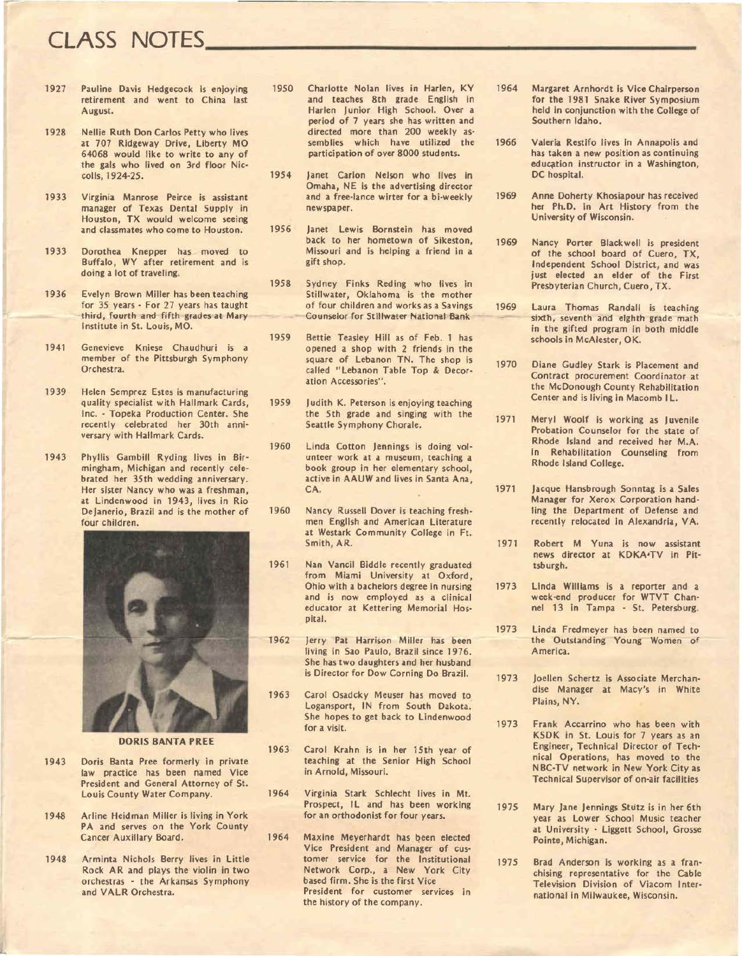# **CLASS NOTES**

- 1927 Pauline Davis Hedgecock is enjoying retirement and went to China last August.
- 1928 Nellie Ruth Don Carlos Petty who lives at 707 Ridgeway Drive, Liberty MO 64068 would like to write to any of the gals who lived on 3rd floor Nie· coils, 1924-25.
- 1933 Virginia Manrose Peirce is assistant manager of Texas Dental Supply in Houston, TX would welcome seeing and classmates who come to Houston.
- 1933 Dorothea Knepper has moved to Buffalo, WY after retirement and is doing a lot of traveling.
- 1936 Evelyn Brown Miller has been teaching for 35 years • For 27 years has taught third, fourth and fifth grades at Mary Institute in St. Louis, MO.
- 1941 Genevieve Kniese Chaudhuri is a member of the Pittsburgh Symphony Orchestra.
- 1939 Helen Semprez Estes is manufacturing quality specialist with Hallmark Cards, Inc. · Topeka Production Center. She recently celebrated her 30th anni· versary with Hallmark Cards.
- 1943 Phyllis Gambill Ryding lives in Bir· mingham, Michigan and recently cele· brated her 35th wedding anniversary. Her sister Nancy who was a freshman, at Lindenwood in 1943, lives in Rio DeJanerio, Brazil and is the mother of four children.



**DORIS BANTA PREE** 

- 1943 Doris Banta Pree formerly in private law practice has been named Vice President and General Attorney of St. Louis County Water Company.
- 1948 Arline Heidman Miller is living in York PA and serves on the York County Cancer Auxillary Board.
- 1948 Arminta Nichols Berry lives in Little Rock AR and plays the violin in two orchestras · the Arkansas Symphony and VALR Orchestra.
- 1950 Charlotte Nolan lives in Harlen, KY and teaches 8th grade English in Harlen Junior High School. Over a period of 7 years she has written and directed more than 200 weekly as· semblies which have utilized the participation of over 8000 students.
- 1954 Janet Carlon Nelson who lives in Omaha, NE is the advertising director and a free-lance wirter for a bi-weekly newspaper.
- 1956 Janet Lewis Bornstein has moved back to her hometown of Sikeston, Missouri and is helping a friend in a gift shop.
- 1958 Sydney Finks Reding who lives in Stillwater, Oklahoma is the mother of four children and works as a Savings Counselor for Stillwater National Bank
- 1959 Bettie Teasley Hill as of Feb. 1 has opened a shop with 2 friends in the square of Lebanon TN. The shop is called "Lebanon Table Top & Decor· ation Accessories".
- 1959 Judith K. Peterson is enjoying teaching the 5th grade and singing with the Seattle Symphony Chorale.
- 1960 Linda Cotton Jennings is doing vol· unteer work at a museum, teaching a book group in her elementary school, active in AAUW and lives in Santa Ana, CA.
- 1960 Nancy Russell Dover is teaching fresh· men English and American Literature at **Westark** Community College in Ft. Smith, AR.
- 1961 Nan Vancil Biddle recently graduated from Miami University at Oxford, Ohio with a bachelors degree in nursing and is now employed as a clinical educator at Kettering Memorial Hos• pital.
- 1962 Jerry **Pat** Harrison Miller has been living in Sao Paulo, Brazil since 1976. She has two daughters and her husband is Director for Dow Corning Do Brazil.
- 1963 Carol Osadcky Meuser has moved to Logansport, IN from South Dakota. She hopes to get back to Lindenwood for a visit.
- 1963 Carol Krahn is in her 15th year of teaching at the Senior High School in Arnold, Missouri.
- 1964 Virginia Stark Schlecht lives in Mt. Prospect, IL and has been working for an orthodonist for four years.
- 1964 Maxine Meyerhardt has been elected Vice President and Manager of cus• tomer service for the Institutional Network Corp., a New York City based firm. She is the first Vice President for customer services in the history of the company.
- 1964 **Margaret** Arnhordt Is Vice Chairperson for the 1981 Snake River Symposium held in conjunction with the College of Southern Idaho.
- 1966 Valeria Restifo lives In Annapolis and has taken a new position as continuing education instructor in a Washington, DC hospital.
- 1969 Anne Doherty Khosiapour has received her Ph.D. in Art History from the University of Wisconsin.
- 1969 Nancy Porter Blackwell is president of the school board of Cuero, TX, Independent School District, and was just elected an elder of the First Presbyterian Church, Cuero, TX.
- 1969 Laura Thomas Randall is teaching sixth, seventh and eighth grade math in the gifted program in both middle schools in McAlester, OK.
- 1970 Diane Gudley Stark is Placement and Contract procurement Coordinator at the McDonough County Rehabilitation Center and is living in Macomb IL.
- 1971 Meryl Woolf is working as Juvenile Probation Counselor for the state of Rhode Island and received her **M.A.**  in Rehabilitation Counseling from Rhode Island College.
- 1971 Jacque Hansbrough Sonntag **is a Sales Manager** for Xerox Corporation hand· ling the Department of Defense and recently relocated in Alexandria, VA.
- 1971 Robert M Yuna is now assistant news director at KDKA•TV in Pit· tsburgh.
- 1973 Linda Williams is a reporter and a week-end producer for WTVT Chan· nel 13 in Tampa · St. Petersburg.
- 1973 Linda Fredmeyer has been named to the Outstanding Young Women of America.
- 1973 Joellen Schertz is Associate Merchandise Manager at Macy's in White Plains, NY.
- 1973 Frank Accarrino who has been with KSDK in St. Louis for 7 years as an Engineer, Technical Director of Tech· nical Operations, has moved to the NBC·TV network in New York City as Technical Supervisor of on-air facilities
- 1975 Mary Jane Jennings Stutz is in her 6th year. as Lower School Music teacher at University • Liggett School, Grosse Pointe, Michigan.
- 1975 Brad Anderson is working as a fran· chising representative for the Cable Television Division of Viacom Inter• national in Milwaukee, Wisconsin.